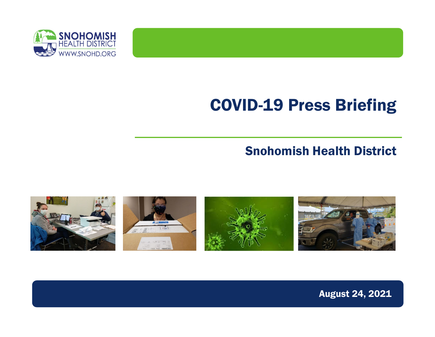

#### COVID-19 Press Briefing

#### Snohomish Health District



August 24, 2021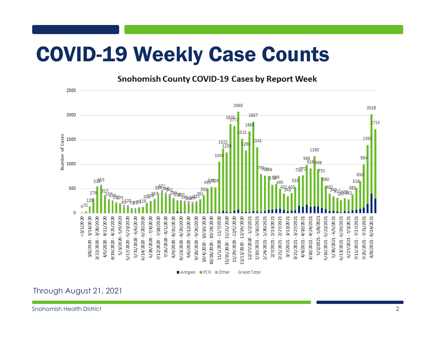### COVID-19 Weekly Case Counts

**Snohomish County COVID-19 Cases by Report Week** 



Through August 21, 2021

Snohomish Health District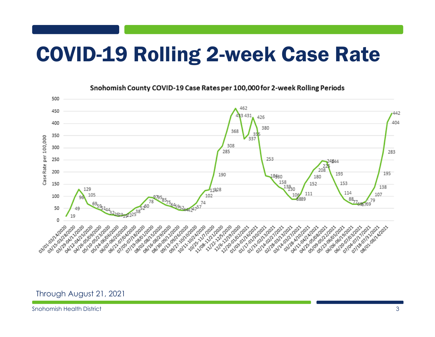### COVID-19 Rolling 2-week Case Rate



Snohomish County COVID-19 Case Rates per 100,000 for 2-week Rolling Periods

Through August 21, 2021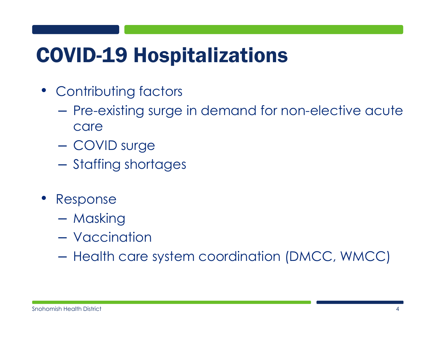### COVID-19 Hospitalizations

- Contributing factors
	- Pre-existing surge in demand for non-elective acute care
	- COVID surge
	- Staffing shortages
- Response
	- Masking
	- Vaccination
	- Health care system coordination (DMCC, WMCC)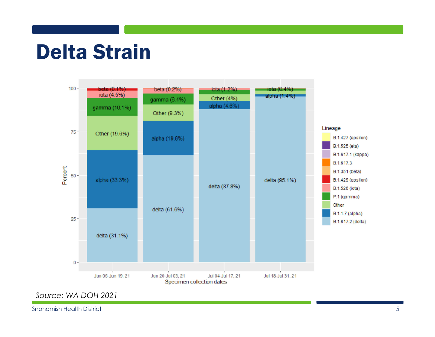### Delta Strain



*Source: WA DOH 2021*

Snohomish Health District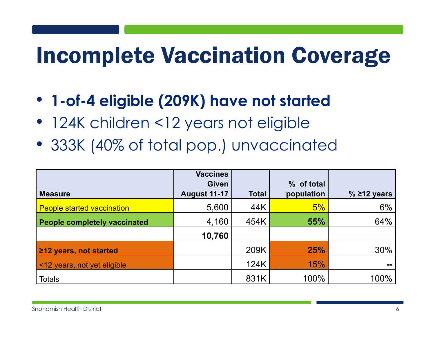# Incomplete Vaccination Coverage

- **1-of-4 eligible (209K) have not started**
- 124K children <12 years not eligible
- 333K (40% of total pop.) unvaccinated

| <b>Measure</b>                      | <b>Vaccines</b><br><b>Given</b><br><b>August 11-17</b> | <b>Total</b> | % of total<br>population | $%$ 212 years |
|-------------------------------------|--------------------------------------------------------|--------------|--------------------------|---------------|
| <b>People started vaccination</b>   | 5,600                                                  | 44K          | 5%                       | 6%            |
| <b>People completely vaccinated</b> | 4,160                                                  | 454K         | 55%                      | 64%           |
|                                     | 10,760                                                 |              |                          |               |
| 212 years, not started              |                                                        | 209K         | 25%                      | 30%           |
| <12 years, not yet eligible         |                                                        | 124K         | 15%                      | --            |
| <b>Totals</b>                       |                                                        | 831K         | 100%                     | 100%          |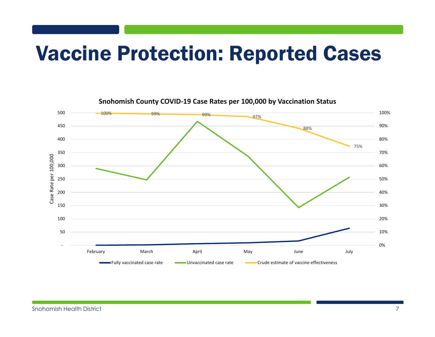### Vaccine Protection: Reported Cases

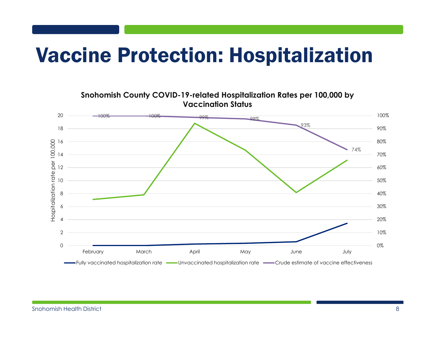### Vaccine Protection: Hospitalization

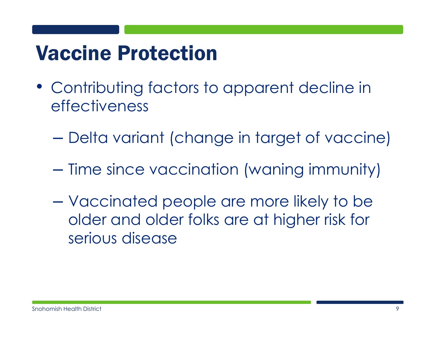## Vaccine Protection

- Contributing factors to apparent decline in effectiveness
	- **Line Community** Delta variant (change in target of vaccine)
	- **Line Community**  $-$  Time since vaccination (waning immunity)
	- **Line Community**  Vaccinated people are more likely to be older and older folks are at higher risk for serious disease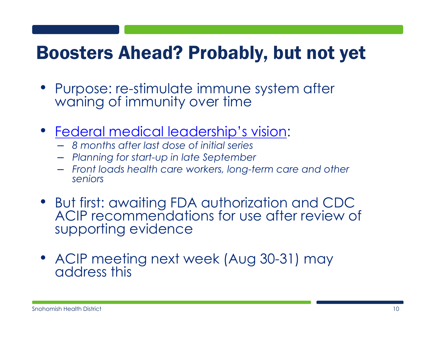#### Boosters Ahead? Probably, but not yet

- Purpose: re-stimulate immune system after waning of immunity over time
- Federal medical leadership's vision:
	- *8 months after last dose of initial series*
	- *Planning for start-up in late September*
	- *Front loads health care workers, long-term care and other seniors*
- But first: awaiting FDA authorization and CDC ACIP recommendations for use after review of supporting evidence
- ACIP meeting next week (Aug 30-31) may address this